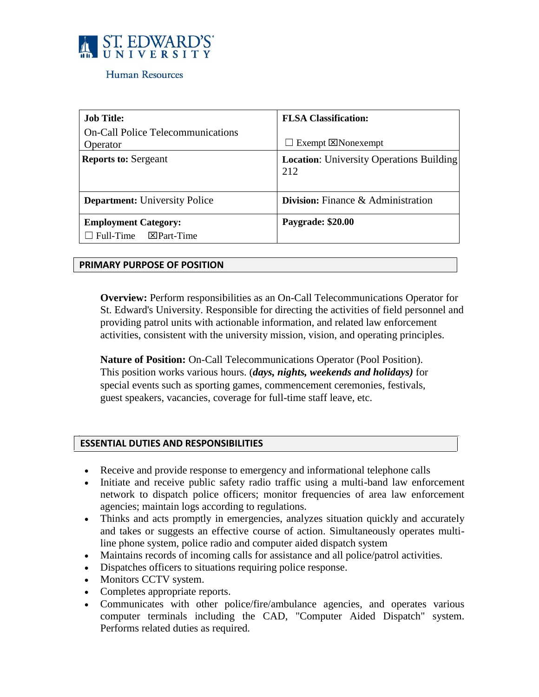

### Human Resources

| <b>Job Title:</b><br><b>On-Call Police Telecommunications</b>    | <b>FLSA Classification:</b>                            |
|------------------------------------------------------------------|--------------------------------------------------------|
| Operator                                                         | Exempt $\boxtimes$ Nonexempt<br>$\Box$                 |
| <b>Reports to: Sergeant</b>                                      | <b>Location:</b> University Operations Building<br>212 |
| <b>Department:</b> University Police                             | <b>Division:</b> Finance & Administration              |
| <b>Employment Category:</b><br>$\Box$ Full-Time $\Box$ Part-Time | Paygrade: \$20.00                                      |

#### **PRIMARY PURPOSE OF POSITION**

**Overview:** Perform responsibilities as an On-Call Telecommunications Operator for St. Edward's University. Responsible for directing the activities of field personnel and providing patrol units with actionable information, and related law enforcement activities, consistent with the university mission, vision, and operating principles.

**Nature of Position:** On-Call Telecommunications Operator (Pool Position). This position works various hours. (*days, nights, weekends and holidays)* for special events such as sporting games, commencement ceremonies, festivals, guest speakers, vacancies, coverage for full-time staff leave, etc.

#### **ESSENTIAL DUTIES AND RESPONSIBILITIES**

- Receive and provide response to emergency and informational telephone calls
- Initiate and receive public safety radio traffic using a multi-band law enforcement network to dispatch police officers; monitor frequencies of area law enforcement agencies; maintain logs according to regulations.
- Thinks and acts promptly in emergencies, analyzes situation quickly and accurately and takes or suggests an effective course of action. Simultaneously operates multiline phone system, police radio and computer aided dispatch system
- Maintains records of incoming calls for assistance and all police/patrol activities.
- Dispatches officers to situations requiring police response.
- Monitors CCTV system.
- Completes appropriate reports.
- Communicates with other police/fire/ambulance agencies, and operates various computer terminals including the CAD, "Computer Aided Dispatch" system. Performs related duties as required.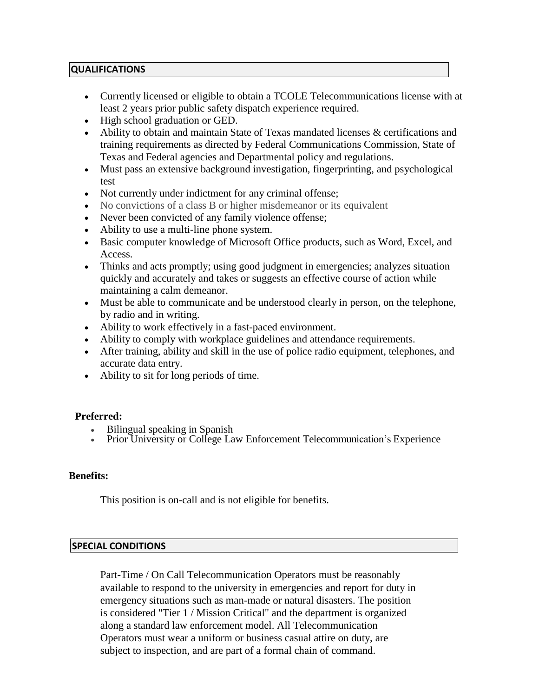# **QUALIFICATIONS**

- Currently licensed or eligible to obtain a TCOLE Telecommunications license with at least 2 years prior public safety dispatch experience required.
- High school graduation or GED.
- Ability to obtain and maintain State of Texas mandated licenses & certifications and training requirements as directed by Federal Communications Commission, State of Texas and Federal agencies and Departmental policy and regulations.
- Must pass an extensive background investigation, fingerprinting, and psychological test
- Not currently under indictment for any criminal offense;
- No convictions of a class B or higher misdemeanor or its equivalent
- Never been convicted of any family violence offense;
- Ability to use a multi-line phone system.
- Basic computer knowledge of Microsoft Office products, such as Word, Excel, and Access.
- Thinks and acts promptly; using good judgment in emergencies; analyzes situation quickly and accurately and takes or suggests an effective course of action while maintaining a calm demeanor.
- Must be able to communicate and be understood clearly in person, on the telephone, by radio and in writing.
- Ability to work effectively in a fast-paced environment.
- Ability to comply with workplace guidelines and attendance requirements.
- After training, ability and skill in the use of police radio equipment, telephones, and accurate data entry.
- Ability to sit for long periods of time.

# **Preferred:**

- Bilingual speaking in Spanish
- Prior University or College Law Enforcement Telecommunication's Experience

# **Benefits:**

This position is on-call and is not eligible for benefits.

# **SPECIAL CONDITIONS**

Part-Time / On Call Telecommunication Operators must be reasonably available to respond to the university in emergencies and report for duty in emergency situations such as man-made or natural disasters. The position is considered "Tier 1 / Mission Critical" and the department is organized along a standard law enforcement model. All Telecommunication Operators must wear a uniform or business casual attire on duty, are subject to inspection, and are part of a formal chain of command.